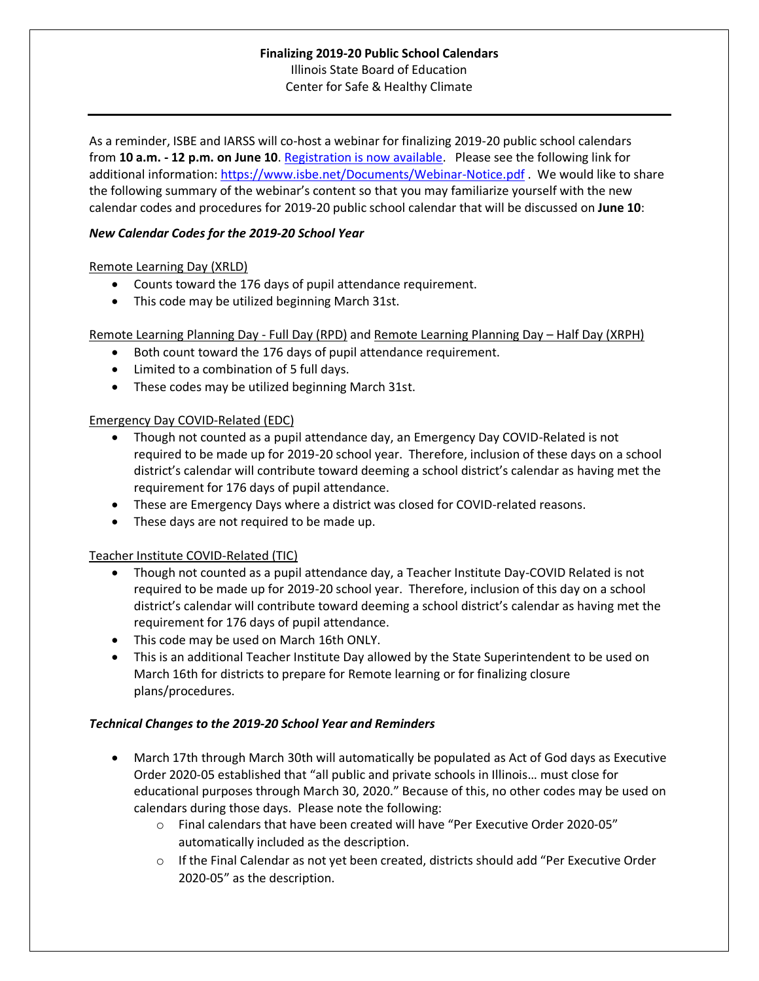# **Finalizing 2019-20 Public School Calendars** Illinois State Board of Education Center for Safe & Healthy Climate

As a reminder, ISBE and IARSS will co-host a webinar for finalizing 2019-20 public school calendars from **10 a.m. - 12 p.m. on June 10**. [Registration is now available.](https://register.gotowebinar.com/register/4622251632898578699) Please see the following link for additional information:<https://www.isbe.net/Documents/Webinar-Notice.pdf> . We would like to share the following summary of the webinar's content so that you may familiarize yourself with the new calendar codes and procedures for 2019-20 public school calendar that will be discussed on **June 10**:

### *New Calendar Codes for the 2019-20 School Year*

## Remote Learning Day (XRLD)

- Counts toward the 176 days of pupil attendance requirement.
- This code may be utilized beginning March 31st.

Remote Learning Planning Day - Full Day (RPD) and Remote Learning Planning Day – Half Day (XRPH)

- Both count toward the 176 days of pupil attendance requirement.
- Limited to a combination of 5 full days.
- These codes may be utilized beginning March 31st.

## Emergency Day COVID-Related (EDC)

- Though not counted as a pupil attendance day, an Emergency Day COVID-Related is not required to be made up for 2019-20 school year. Therefore, inclusion of these days on a school district's calendar will contribute toward deeming a school district's calendar as having met the requirement for 176 days of pupil attendance.
- These are Emergency Days where a district was closed for COVID-related reasons.
- These days are not required to be made up.

#### Teacher Institute COVID-Related (TIC)

- Though not counted as a pupil attendance day, a Teacher Institute Day-COVID Related is not required to be made up for 2019-20 school year. Therefore, inclusion of this day on a school district's calendar will contribute toward deeming a school district's calendar as having met the requirement for 176 days of pupil attendance.
- This code may be used on March 16th ONLY.
- This is an additional Teacher Institute Day allowed by the State Superintendent to be used on March 16th for districts to prepare for Remote learning or for finalizing closure plans/procedures.

#### *Technical Changes to the 2019-20 School Year and Reminders*

- March 17th through March 30th will automatically be populated as Act of God days as Executive Order 2020-05 established that "all public and private schools in Illinois… must close for educational purposes through March 30, 2020." Because of this, no other codes may be used on calendars during those days. Please note the following:
	- o Final calendars that have been created will have "Per Executive Order 2020-05" automatically included as the description.
	- $\circ$  If the Final Calendar as not yet been created, districts should add "Per Executive Order 2020-05" as the description.